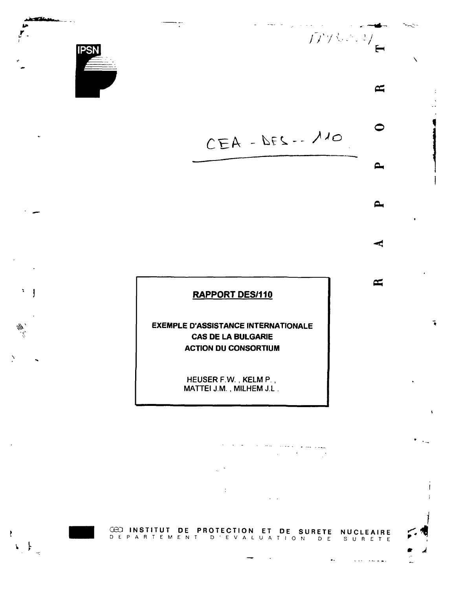

¥,  $\mathbf{\mathbf{I}}$ 

∰.<br>M

Ł

 $\begin{array}{c} \leftarrow \downarrow \\ \downarrow \end{array}$ 

**7**

 $\lambda$ 



## **RAPPORT DES/110**

**EXEMPLE D'ASSISTANCE INTERNATIONALE CAS DE LA BULGARIE ACTION DU CONSORTIUM**

> HEUSER F.W., KELM P., MATTEI J.M., MILHEM J.L.

 $\label{eq:2.1} \mathcal{L}(\mathcal{L}(\mathcal{L})) = \mathcal{L}(\mathcal{L}(\mathcal{L})) = \mathcal{L}(\mathcal{L}(\mathcal{L}))$  $\ddot{\cdot}$  $\omega = 1$ 

**CBD INSTITU T DE** DEPARTEME N **PROTECTIO N** T D'EVA L **ET DE SURET E** EI **DE SURETE NUCLEAIR!**<br>UATION DE SURET! SURET E

 $\mathbf{a}$  .

القفاسية التحالة

 $\approx$ 

ī

 $\ddot{\phantom{0}}$ 

 $\approx$ 

⊂

 $\sim$ 

 $\mathbf{a}$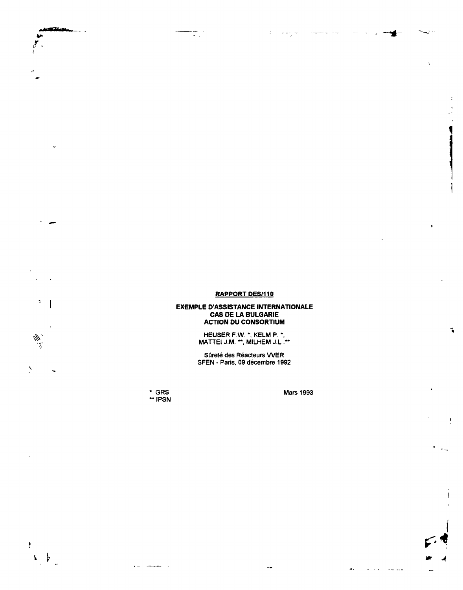## **RAPPORT DES/110**

 $\mathbb{R}^3$ 

 $\sigma = \sigma_1 \rightarrow \sigma_2$ 

 $\prec$ 

 $\lambda$ 

٦

سأجدد

## **EXEMPLE D'ASSISTANCE INTERNATIONALE CAS DE LA BULGARIE ACTION DU CONSORTIUM**

HEUSER F.W. \*, KELM P. \*, MATTEI J.M. \*\*, MILHEM J.L .\*\*

Sûreté des Réacteurs WER SFEN - Paris, 09 décembre 1992

\* GRS Mars 1993 •IPSN

 $\cdot$   $-$ 

 $\bar{z}$ 

**fcp»**

ţ ĵ

₩

 $\Delta$ 

Ł

 $\left\{ \begin{array}{c} \end{array} \right\}$ 

ستحت

 $\mathbb{R}^2$ 

**I**

÷.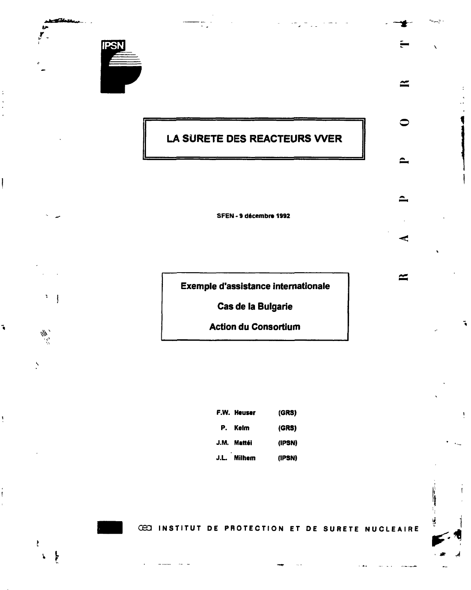

 $3 - \frac{1}{2}$ 

 $\hat{\psi}$ 

È

٦

# **LA SURETE DES REACTEURS WER**

 $\approx$ 

 $\approx$ 

Ŧ.

۱. ý.

**SFEN - 9 décembre 1992**

**Exemple d'assistance internationale**

**Cas de la Bulgarie**

**Action du Consortium**

| F.W. Heuser | (GRS)  |
|-------------|--------|
| P. Kelm     | (GRS)  |
| J.M. Mattéi | (IPSN) |
| J.L. Milhem | (IPSN) |

**CECI INSTITUT DE PROTECTION ET DE SURETE NUCLEAIRE**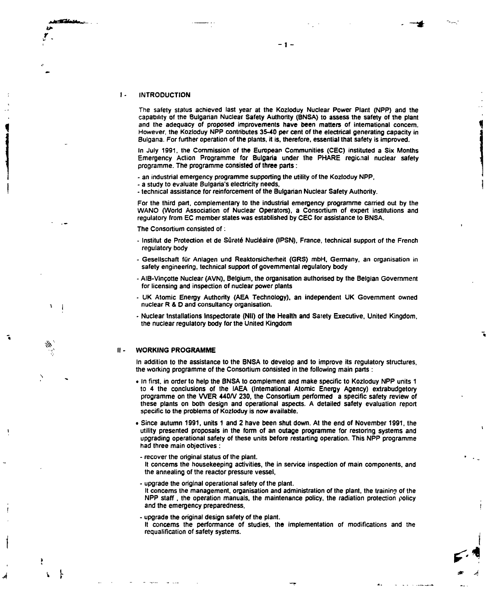**ALIAN SA** 

×.  $\overline{1}$ 

The safety status achieved last year at the Kozloduy Nuclear Power Plant (NPP) and the capability of the Bulgarian Nuclear Safety Authority (BNSA) to assess the safety of the plant and the adequacy of proposed improvements have been matters of international concern. However, the Kozloduy NPP contributes 35-40 per cent of the electrical generating capacity in Bulgaria. For further operation of the plants, it is, therefore, essential that safety is improved.

- 1 -

In July 1991. the Commission of the European Communities (CEC) instituted a Six Months Emergency Action Programme for Bulgaria under the PHARE regional nuclear safety programme. The programme consisted of three parts :

- an industrial emergency programme supporting the utility of the Kozloduy NPP,
- a study to evaluate Bulgaria's electricity needs,
- technical assistance for reinforcement of the Bulgarian Nuclear Safety Authority.

For the third part, complementary to the industrial emergency programme carried out by the WANO (World Association of Nuclear Operators), a Consortium of expert institutions and regulatory from EC member states was established by CEC for assistance to BNSA.

The Consortium consisted of :

- Institut de Protection et de Sûreté Nucléaire (IPSN), France, technical support of the French regulatory body
- Gesellschaft **fur** Anlagen und Reaktorsicherheit (GRS) mbH. Germany, an organisation in safety engineering, technical support of governmental regulatory body
- AlB-Vinçotte Nuclear (AVN). Belgium, the organisation authorised by the Belgian Government for licensing and inspection of nuclear power plants
- UK Atomic Energy Authority (AEA Technology), an independent UK Government owned nuclear R & O and consultancy organisation.
- Nuclear Installations Inspectorate (Nil) of the Health and Satety Executive, United Kingdom, the nuclear regulatory body for the United Kingdom

#### $\mathbf{II}$  -**WORKING PROGRAMME**

*A*

ŀ

In addition to the assistance to the BNSA to develop and to improve its regulatory structures, the working programme of the Consortium consisted in the following main parts :

• In first, in order to help the BNSA to complement and make specific to Kozloduy NPP units 1 to 4 the conclusions of the IAEA (International Atomic Energy Agency) extrabudgetory programme on the VVER 440/V 230, the Consortium performed a specific safety review of these plants on both design and operational aspects. A detailed safety evaluation report specific to the problems of Kozloduy is now available.

• Since autumn 1991, units 1 and 2 have been shut down. At the end of November 1991. the utility presented proposals in the form of an outage programme for restoring systems and upgrading operational safety of these units before restarting operation. This NPP programme had three main objectives :

- recover the original status of the plant.

It concerns the housekeeping activities, the in service inspection of main components, and the annealing of the reactor pressure vessel,

#### - upgrade the original operational safety of the plant. It concerns the management, organisation and administration of the plant, the training of the NPP staff, the operation manuals, the maintenance policy, the radiation protection policy and the emergency preparedness,

- upgrade the original design safety of the plant.
- It concerns the performance of studies, the implementation of modifications and the requalification of safety systems.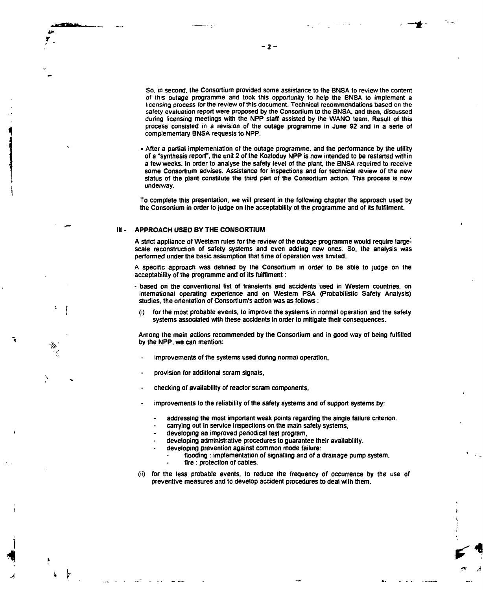معصد

**1**

*A*

**y**

 $-2-$ 

**So. in second, the Consortium provided some assistance to the BNSA to review the content of (his outage programme and took this opportunity to help the BNSA to implement a licensing process for the review of this document. Technical recommendations based on the safety evaluation report were proposed by the Consortium to the BNSA, and then, discussed during licensing meetings with the NPP staff assisted by the WANO team. Result of this g process consisted in a revision of the outage programme in June 92 and in a série of " complementary BNSA requests to NPP.**

**• After a partial implementation of the outage programme, and the performance by the utility of a "synthesis report", the unit 2 of the Kozloduy NPP is now intended to be restarted within a few weeks. In order to analyse the safety level of the plant, the BNSA required to receive some Consortium advises. Assistance for inspections and for technical review of the new status of the plant constitute the third part of the Consortium action. This process is now underway.**

**To complete this presentation, we will present in the following chapter the approach used by the Consortium in order to judge on the acceptability of the programme and of its fulfilment.**

#### **III - APPROACH USED BY THE CONSORTIUM**

**A strict appliance of Western rules for the review of the outage programme would require largescale reconstruction of safety systems and even adding new ones. So. the analysis was performed under the basic assumption that time of operation was limited.**

**A specific approach was defined by the Consortium in order to be able to judge on the acceptability of the programme and of its fulfilment :**

- **based on the conventional list of transients and accidents used in Western countries, on international operating experience and on Western PSA (Probabilistic Safety Analysis) studies, the orientation of Consortium's action was as follows :**
	- **(i) for the most probable events, to improve the systems in normal operation and the safety systems associated with these accidents in order to mitigate their consequences.**

**Among the main actions recommended by the Consortium and in good way of being fulfilled by the NPP, we can mention:**

- **improvements of the systems used during normal operation,**
- **provision for additional scram signals,**
- **checking of availability of reactor scram components,**
- **improvements to the reliability of the safety systems and of support systems by:**
	- **addressing the most important weak points regarding the single failure criterion.**
	- **carrying out in service inspections on the main safety systems,**
	- **developing an improved periodical test program,**
	- **developing administrative procedures to guarantee their availability.**
	- **developing prevention against common mode failure:**
		- **flooding : implementation of signalling and of a drainage pump system,**
		- **fire : protection of cables.**
- **(ii) for the less probable events, to reduce the frequency of occurrence by the use of preventive measures and to develop accident procedures to deal with them.**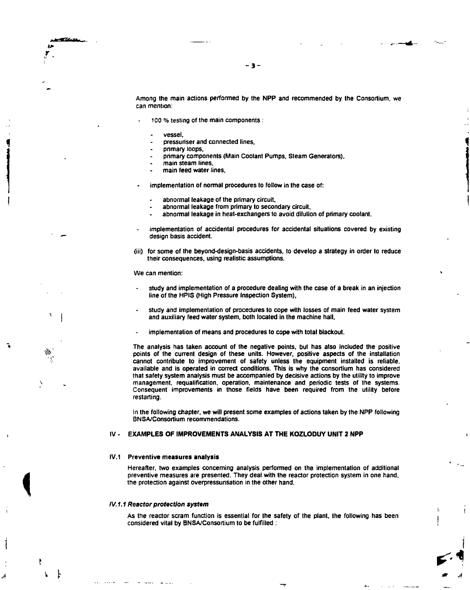Among the main actions performed by the **NPP** and recommended by the Consortium, we can mention:

- 3 -

- 100 % testing of the main components :
	- vessel,

y

*i*

*t*

**i**

- pressuriser and connected lines,
- primary loops.
- primary components (Main Coolant Pumps, Steam Generators).
- main steam lines,
- main feed water lines,
- implementation of normal procedures to follow in the case of:
	- abnormal leakage of the primary circuit,
	- abnormal leakage from primary to secondary circuit.
	- abnormal leakage in heat-exchangers to avoid dilution of primary coolant.
- implementation of accidental procedures for accidental situations covered by existing design basis accident.
- **(iii)** for some of the beyond-design-basis accidents, to develop a strategy in order to reduce their consequences, using realistic assumptions.

We can mention:

- study and implementation of a procedure dealing with the case of a break in an injection line of the HPIS (High Pressure Inspection System),
- study and implementation of procedures to cope with losses of main feed water system and auxiliary feed water system, both located in the machine hall,
- implementation of means and procedures to cope with total blackout.

The analysis has taken account of the negative points, but has also included the positive points of the current design of these units. However, positive aspects of the installation cannot contribute to improvement of safety unless the equipment installed is reliable, available and is operated in correct conditions. This is why the consortium has considered that safety system analysis must be accompanied by decisive actions by the utility to improve management, requalification, operation, maintenance and periodic tests of the systems. Consequent improvements in those fields have been required from the utility before restarting.

In the following chapter, we will present some examples of actions taken by the NPP following BNSA/Consortium recommendations.

### IV • **EXAMPLES OF IMPROVEMENTS ANALYSIS AT THE KOZLODUY UNIT 2 NPP**

#### IV.1 **Preventive measures analysis**

Hereafter, two examples concerning analysis performed on the implementation of additional preventive measures are presented. They deal with the reactor protection system in one hand, the protection against overpressurisation in the other hand.

#### **IV. 1.1 Reactor protection system**

As the reactor scram function is essential for the safety of the plant, the following has been considered vital by BNSA/Consortium to be fulfilled :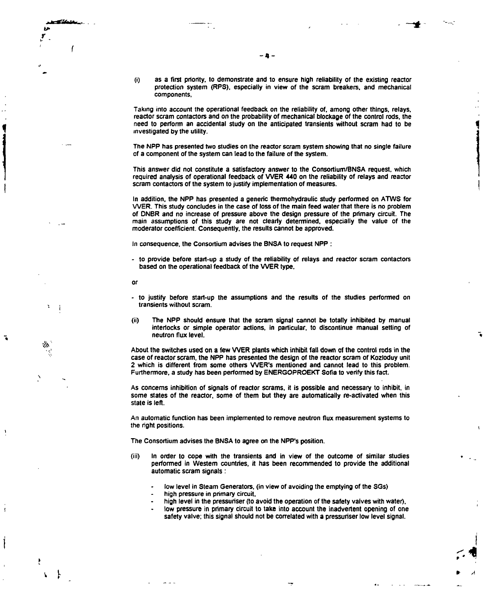$\mathbf{i}$ 

٦

**(i) as a first priority, to demonstrate and to ensure high reliability of the existing reactor protection system (RPS). especially in view of the scram breakers, and mechanical components,**

**Taking into account the operational feedback on the reliability of, among other things, relays, reactor scram contactors and on the probability of mechanical blockage of the control rods, the need to perform an accidental study on the anticipated transients without scram had to be investigated by the utility.**

**The NPP has presented two studies on the reactor scram system showing that no single failure of a component of the system can lead to the failure of the system.**

**This answer did not constitute a satisfactory answer to the Consortium/BNSA request, which required analysis of operational feedback of WER 440 on the reliability of relays and reactor scram contactors of the system to justify implementation of measures.**

**In addition, the NPP has presented a generic thermohydraulic study performed on ATWS for WER. This study concludes in the case of loss of the main feed water that there is no problem of ONBR and no increase of pressure above the design pressure of the primary circuit. The main assumptions of this study are not clearly determined, especially the value of the moderator coefficient. Consequently, the results cannot be approved.**

**In consequence, the Consortium advises the BNSA to request NPP :**

- **to provide before start-up a study of the reliability of relays and reactor scram contactors** based on the operational feedback of the VVER type.
- **or**
- **to justify before start-up the assumptions and the results of the studies performed on transients without scram.**
- **(ii) The NPP should ensure that the scram signal cannot be totally inhibited by manual interlocks or simple operator actions, in particular, to discontinue manual setting of neutron flux level.**

**About the switches used on a few WER plants which inhibit fall down of the control rods in the case of reactor scram, the NPP has presented the design of the reactor scram of Kozloduy unit 2 which is different from some others WER's mentioned and cannot lead to this problem. Furthermore, a study has been performed by ENERGOPROEKT Sofia to verify this fact.**

**As concerns inhibition of signals of reactor scrams, it is possible and necessary to inhibit, in some states of the reactor, some of them but they are automatically re-activated when this state is left.**

**An automatic function has been implemented to remove neutron flux measurement systems to the right positions.**

**The Consortium advises the BNSA to agree on the NPP's position.**

- **(iii) In order to cope with the transients and in view of the outcome of similar studies performed in Western countries, it has been recommended to provide the additional automatic scram signals :**
	- **low level in Steam Generators, (in view of avoiding the emptying of the SGs)**
	- **high pressure in primary circuit,**
	- **high level in the pressuriser (to avoid the operation of the safety valves with water),**
	- **low pressure in primary circuit to take into account the inadvertent opening of one safety valve; this signal should not be correlated with a pressuriser low level signal.**

- 8 -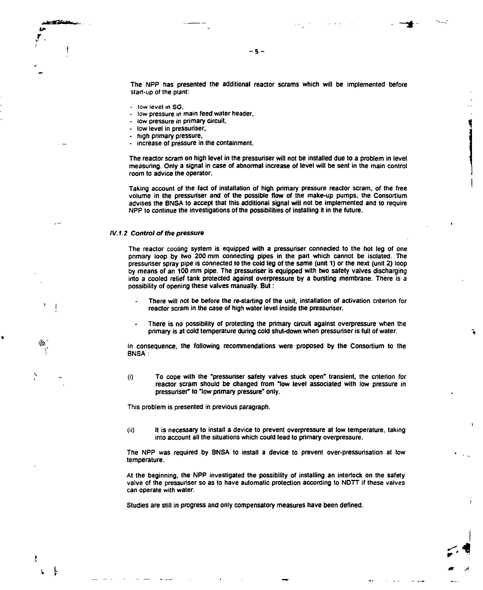**The NPP has presented the additional reactor scrams which will be implemented before start-up of the plant:**

**-S-**

- low level in SG.
- **low pressure in main feed water header.**
- **low pressure in primary circuit.**
- **low level in pressuriser,**
- **high primary pressure,**
- **increase of pressure in the containment.**

**The reactor scram on high level in the pressuriser will not be installed due to a problem in level measuring. Only a signal in case of abnormal increase of level will be sent in the main control room to advice the operator.**

**Taking account of the fact of installation of high primary pressure reactor scram, of the free volume in the pressuriser and of the possible flow of the make-up pumps, the Consortium advises the BNSA to accept that this additional signal will not be implemented and to require NPP to continue the investigations of the possibilities of installing it in the future.**

#### **IV.1.2 Control of the pressure**

 $\cdot$ 

P  $\mathbf{L}$ 

**The reactor cooling system is equipped with a pressuriser connected to the hot leg of one primary loop by two 200 mm connecting pipes in the part which cannot be isolated. The pressuriser spray pipe is connected to the cold leg of the same (unit 1) or the next (unit 2) loop by means of an 100 mm pipe. The pressuriser is equipped with two safety valves discharging into a cooled relief tank protected against overpressure by a bursting membrane. There is a possibility of opening these valves manually. But :**

- **There will not be before the re-starting of the unit, installation of activation criterion for reactor scram in the case of high water level inside the pressuriser.**
- **There is no possibility of protecting the primary circuit against overpressure when the primary is at cold temperature during cold shut-down when pressuriser is full of water.**

**In consequence, the following recommendations were proposed by the Consortium to the BNSA:**

**(i) To cope with the "pressuriser safety valves stuck open" transient, the criterion for reactor scram should be changed from "low level associated with low pressure in pressuriser" to "low primary pressure" only.**

**This problem is presented in previous paragraph.**

**(ii) It is necessary to install a device to prevent overpressure at low temperature, taking into account all the situations which could lead to primary overpressure.**

**The NPP was required by BNSA to install a device to prevent over-pressurisation at low temperature.**

**At the beginning, the NPP investigated the possibility of installing an interlock on the safety valve of the pressuriser so as to have automatic protection according to NDTT if these valves can operate with water.**

**Studies are still in progress and only compensatory measures have been defined.**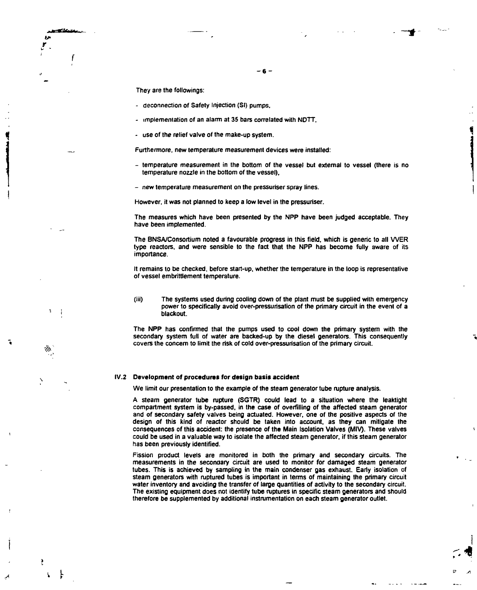They are the fallowings:

÷

- deconnection of Safety Injection (SI) pumps.
- implementation of an alarm at 35 bars correlated with NDTT,
- use of the relief valve of the make-up system.

Furthermore, new temperature measurement devices were installed:

- temperature measurement in the bottom of the vessel but external to vessel (there is no temperature nozzle in the bottom of the vessel),

**- 6 -**

- new temperature measurement on the pressuriser spray lines.

However, it was not planned to keep a low level in the pressuriser.

The measures which have been presented by the NPP have been judged acceptable. They have been implemented.

The BNSA/Consortium noted a favourable progress in this field, which is generic to all WER type reactors, and were sensible to the fact that the NPP has become fully aware of its importance.

It remains to be checked, before start-up, whether the temperature in the loop is representative of vessel embrittlement temperature.

**(iii)** The systems used during cooling down of the plant must be supplied with emergency power to specifically avoid over-pressurisation of the primary circuit in the event of a blackout.

The NPP has confirmed that the pumps used to cool down the primary system with the secondary system full of water are backed-up by the diesel generators. This consequently covers the concern to limit the risk of cold over-pressurisation of the primary circuit.

#### IV.2 **Development of procedures for design basis accident**

We limit our presentation to the example of the steam generator tube rupture analysis.

A steam generator tube rupture (SGTR) could lead to a situation where the leaktight compartment system is by-passed, in the case of overfilling of the affected steam generator and of secondary safety valves being actuated. However, one of the positive aspects of the design of this kind of reactor should be taken into account, as they can mitigate the consequences of this accident: the presence of the Main Isolation Valves (MIV). These valves could be used in a valuable way to isolate the affected steam generator, if this steam generator has been previously identified.

Fission product levels are monitored in both the primary and secondary circuits. The measurements in the secondary circuit are used to monitor for damaged steam generator tubes. This is achieved by sampling in the main condenser gas exhaust. Early isolation of steam generators with ruptured tubes is important in terms of maintaining the primary circuit water inventory and avoiding the transfer of large quantities of activity to the secondary circuit. The existing equipment does not identify tube ruptures in specific steam generators and should therefore be supplemented by additional instrumentation on each steam generator outlet.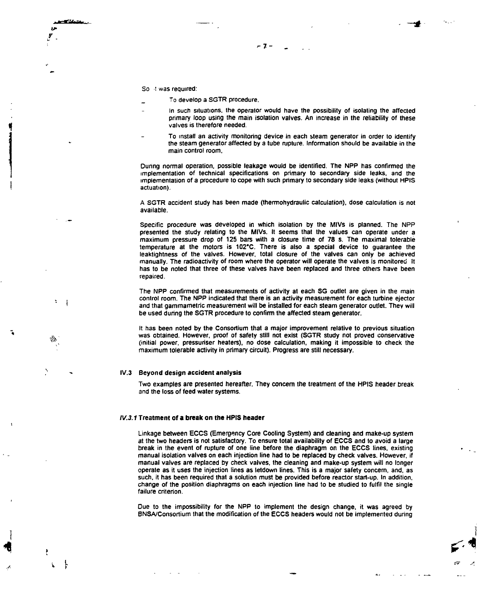So it was required:

44

- To develop a SGTR procedure,
- In such situations, the operator would have the possibility of isolating the affected primary loop using the main isolation valves. An increase in the reliability of these valves is therefore needed.

 $-7 -$ 

To install an activity monitoring device in each steam generator in order to identify the steam generator affected by a tube rupture. Information should be available in the main control room,

During normal operation, possible leakage would be identified. The NPP has confirmed the implementation of technical specifications on primary to secondary side leaks, and the implementation of a procedure to cope with such primary to secondary side leaks (without HPIS actuation).

A SGTR accident study has been made (thermohydraulic calculation), dose calculation is not available.

Specific procedure was developed in which isolation by the MIVs is planned. The NPP presented the study relating to the MIVs. It seems that the values can operate under a maximum pressure drop of 125 bars with a closure time of 78 s. The maximal tolerable temperature at the motors is 102'C. There is also a special device to guarantee the leaktightness of the valves. However, total closure of the valves can only be achieved manually. The radioactivity of room where the operator will operate the valves is monitored It has to be noted that three of these valves have been replaced and three others have been repaired.

The NPP confirmed that measurements of activity at each SG outlet are given in the main control room. The NPP indicated that there is an activity measurement for each turbine ejector and that gammametric measurement will be installed for each steam generator outlet. They will be used during the SGTR procedure to confirm the affected steam generator.

It has been noted by the Consortium that a major improvement relative to previous situation was obtained. However, proof of safety still not exist (SGTR study not proved conservative (initial power, pressuriser heaters), no dose calculation, making it impossible to check the maximum tolerable activity in primary circuit). Progress are still necessary.

#### IV.3 Beyond design accident analysis

Two examples are presented hereafter. They concern the treatment of the HPIS header break and the loss of feed water systems.

#### IV.3.1 **Treatment of a break on the HPIS header**

Linkage between ECCS (Emergency Core Cooling System) and cleaning and make-up system at the two headers is not satisfactory. To ensure total availability of ECCS and to avoid a large break in the event of rupture of one line before the diaphragm on the ECCS lines, existing manual isolation valves on each injection line had to be replaced by check valves. However, if manual valves are replaced by check valves, the cleaning and make-up system will no longer operate as it uses the injection lines as letdown lines. This is a major safety concern, and, as such, it has been required that a solution must be provided before reactor start-up. In addition, change of the position diaphragms on each injection line had to be studied to fulfil the single failure criterion.

Due to the impossibility for the NPP to implement the design change, it was agreed by BNSA/Consortium that the modification of the ECCS headers would not be implemented during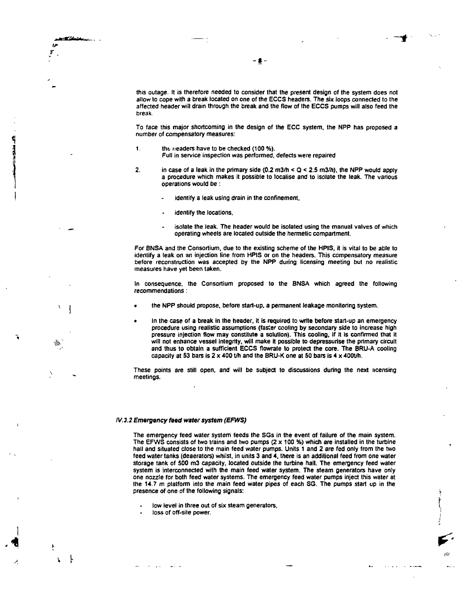Ŵi

 $\mathbf{r}$ Ł

this outage. It is therefore needed to consider that the present design of the system does not allow Io cope with a break located on one of the ECCS headers. The six loops connected to the affected header will drain through the break and the flow of the ECCS pumps will also feed the break.

To face this major shortcoming in the design of the ECC system, the NPP has proposed a number of compensatory measures:

- 1. the neaders have to be checked (100 %). Full in service inspection was performed, defects were repaired
- 2. in case of a leak in the primary side  $(0.2 \text{ m3/h} < Q < 2.5 \text{ m3/h})$ , the NPP would apply a procedure which makes it possible to localise and to isolate the leak. The various operations would be :
	- identify a leak using drain in the confinement,
	- identify the locations,
	- isolate the leak. The header would be isolated using the manual valves of which operating wheels are located outside the hermetic compartment.

For BNSA and the Consortium, due to the existing scheme of the HPIS, it is vital to be able to identify a leak on an injection line from HPIS or on the headers. This compensatory measure before reconstruction was accepted by the NPP during licensing meeting but no realistic measures have yet been taken.

In consequence, the Consortium proposed to the BNSA which agreed the following recommendations :

- the NPP should propose, before start-up, a permanent leakage monitoring system.
- In the case of a break in the header, it is required to write before start-up an emergency procedure using realistic assumptions (faster cooling by secondary side to increase high pressure injection flow may constitute a solution). This cooling, if it is confirmed that it will not enhance vessel integrity, will make it possible to depressurise the primary circuit and thus to obtain a sufficient ECCS flowrate to protect the core. The BRU-A cooling capacity at 53 bars is  $2 \times 400$  t/h and the BRU-K one at 50 bars is 4  $\times$  400t/h.

These points are still open, and will be subject to discussions during the next licensing meetings.

#### IV.3.2 **Emergency feed water system (EFWS)**

The emergency feed water system feeds the SGs in the event of failure of the main system. The EFWS consists of two trains and two pumps  $(2 \times 100 \%)$  which are installed in the turbine hall and situated close to the main feed water pumps. Units 1 and 2 are fed only from the two feed water tanks (deaerators) whilst, in units 3 and 4, there is an additional feed from one water storage tank of 500 m3 capacity, located outside the turbine hall. The emergency feed water system is interconnected with the main feed water system. The steam generators have only one nozzle for both feed water systems. The emergency feed water pumps inject this water at the **14.7** m platform into the main feed water pipes of each SG. The pumps start up in the presence of one of the following signals:

- low level in three out of six steam generators,
- loss of off-site power.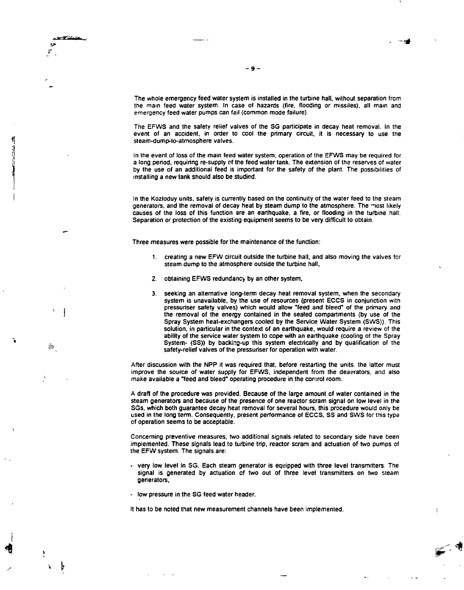**The whole emergency feed water system is installed in the turbine hall, without separation from the mam feed water system. In case of hazards {fire, flooding or missiles), all mam and emergency feed water pumps can fail (common mode failure).**

**The EFWS and the safety relief valves of the SG participate in decay heat removal. In the event of an accident, in order to cool the primary circuit, it is necessary to use the steam-dump-to-atmosphere valves.**

In the event of loss of the main feed water system, operation of the EFWS may be required for **Ii a long period, requiring re-supply of the feed water tank. The extension of the reserves of water** by the use of an additional feed is important for the safety of the plant. The possibilities of **] installing a new tank should also be studied.**

In the Kozloduy units, safety is currently based on the continuity of the water feed to the steam generators, and the removal of decay heat by steam dump to the atmosphere. The most likely **causes of the loss of this function are an earthquake, a fire, or flooding in the turbine hail. Separation or protection of the existing equipment seems to be very difficult to obtain.**

**Three measures were possible for the maintenance of the function:**

- **1. creating a new EFW circuit outside the turbine hall, and also moving the valves for steam dump to the atmosphere outside the turbine hall,**
- **2. obtaining EFWS redundancy by an other system.**
- **3. seeking an alternative long-term decay heat removal system, when the secondary system is unavailable, by the use of resources (present ECCS in conjunction with . . pressuriser safety valves) which would allow "feed and bleed" of the primary and j the removal of the energy contained in the sealed compartments (by use of the Spray System heat-exchangers cooled by the Service Water System (SWS)). This solution, in particular in the context of an earthquake, would require a review of the ability of the service water system to cope with an earthquake (cooling of the Spray System- (SS)) by backing-up this system electrically and by qualification of the**<br>cofety relief values of the assessing for exacting with water safety-relief valves of the pressuriser for operation with water.

**After discussion with the NPP it was required that, before restarting the units, the latter must improve the source of water supply for EFWS, independent from the deaerators. and also** make available a "feed and bleed" operating procedure in the control room.

**A draft of the procedure was provided. Because of the large amount of water contained in the steam generators and because of the presence of one reactor scram signal on low level in the SGs. which both guarantee decay heat removal for several hours, this procedure would only be used in the long term. Consequently, present performance of ECCS, SS and SWS for this type of operation seems to be acceptable.**

**Concerning preventive measures, two additional signals related to secondary side have been implemented. These signals lead to turbine trip, reactor scram and actuation of two pumps of the EFW system. The signals are:**

- **very low level in SG. Each steam generator is equipped with three level transmitters. The signal is generated by actuation of two out of three level transmitters on two steam generators,**
- **low pressure in the SG feed water header.**

**It has to be noted that new measurement channels have been implemented.**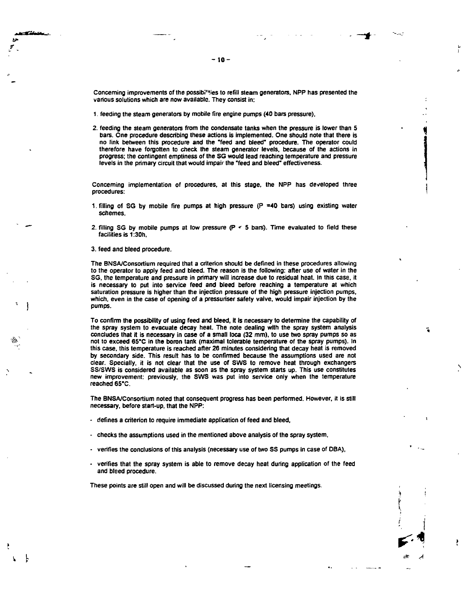Concerning improvements of the possibi<sup>11</sup>ties to refill steam generators, NPP has presented the **various solutions which are now available. They consist in:**

- **1. feeding the steam generators by mobile fire engine pumps (40 bars pressure),**
- **2. feeding the steam generators from the condensate tanks when the pressure is lower than 5 bars. One procedure describing these actions is implemented. One should note that there is no link between this procedure and the "feed and bleed" procedure. The operator could therefore have forgotten to check the steam generator levels, because of the actions in progress; the contingent emptiness of the SG would lead reaching temperature and pressure levels in the primary circuit that would impair the "feed and bleed" effectiveness.**

**Concerning implementation of procedures, at this stage, the NPP has developed three procedures:**

- **1. filling of SG by mobile fire pumps at high pressure (P =40 bars) using existing water schemes,**
- **2. filling SG by mobile pumps at low pressure (P «• 5 bars). Time evaluated to field these facilities is 1:30h,**

**3. feed and bleed procedure.**

**r**

**The BNSA/Consortium required that a criterion should be defined in these procedures allowing to the operator to apply feed and bleed. The reason is the following: after use of water in the** SG, the temperature and pressure in primary will increase due to residual heat. In this case, it **is necessary to put into service feed and bleed before reaching a temperature at which saturation pressure is higher than the injection pressure of the high pressure injection pumps, which, even in the case of opening of a pressuriser safety valve, would impair injection by the pumps.**

**To confinn the possibility of using feed and bleed, it is necessary to determine the capability of the spray system to evacuate decay heat. The note dealing with the spray system analysis concludes that it is necessary in case of a small loca (32 mm), to use two spray pumps so as not to exceed 65\*C in the boron tank (maximal tolerable temperature of the spray pumps). In this case, this temperature is reached after 26 minutes considering that decay heat is removed by secondary side. This result has to be confirmed because the assumptions used are not clear. Specially, it is not clear that the use of SWS to remove heat through exchangers SS/SWS is considered available as soon as the spray system starts up. This use constitutes new improvement: previously, the SWS was put into service only when the temperature reached 65\*C.**

**The BNSA/Consortium noted that consequent progress has been performed. However, it is still necessary, before start-up, that the NPP:**

- **defines a criterion to require immediate application of feed and bleed,**
- **checks the assumptions used in the mentioned above analysis of the spray system,**
- **verifies the conclusions of this analysis (necessary use of two SS pumps in case of OBA),**
- **verifies that the spray system is able to remove decay heat during application of the feed and bleed procedure.**

155? *A*

**These points are still open and will be discussed during the next licensing meetings.**